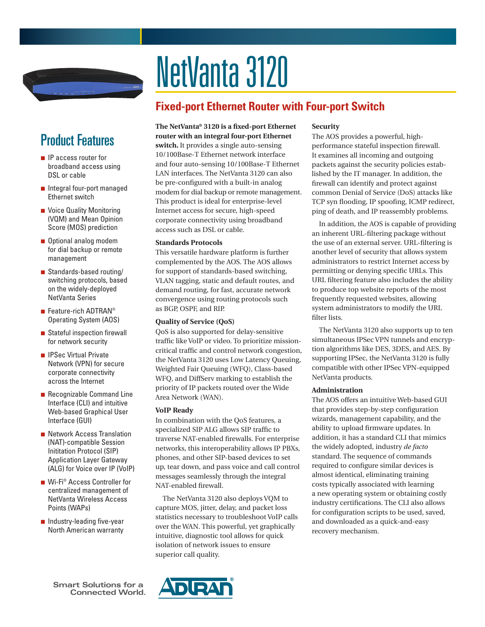

# NetVanta 3120

### **Fixed-port Ethernet Router with Four-port Switch**

# Product Features

- IP access router for broadband access using DSL or cable
- Integral four-port managed Ethernet switch
- Voice Quality Monitoring (VQM) and Mean Opinion Score (MOS) prediction
- Optional analog modem for dial backup or remote management
- Standards-based routing/ switching protocols, based on the widely-deployed NetVanta Series
- Feature-rich ADTRAN® Operating System (AOS)
- Stateful inspection firewall for network security
- IPSec Virtual Private Network (VPN) for secure corporate connectivity across the Internet
- Recognizable Command Line Interface (CLI) and intuitive Web-based Graphical User Interface (GUI)
- Network Access Translation (NAT)-compatible Session Inititation Protocol (SIP) Application Layer Gateway (ALG) for Voice over IP (VoIP)
- Wi-Fi<sup>®</sup> Access Controller for centralized management of NetVanta Wireless Access Points (WAPs)
- Industry-leading five-year North American warranty

**The NetVanta® 3120 is a fixed-port Ethernet router with an integral four-port Ethernet** 

**switch.** It provides a single auto-sensing 10/100Base-T Ethernet network interface and four auto-sensing 10/100Base-T Ethernet LAN interfaces. The NetVanta 3120 can also be pre-configured with a built-in analog modem for dial backup or remote management. This product is ideal for enterprise-level Internet access for secure, high-speed corporate connectivity using broadband access such as DSL or cable.

#### **Standards Protocols**

This versatile hardware platform is further complemented by the AOS. The AOS allows for support of standards-based switching, VLAN tagging, static and default routes, and demand routing, for fast, accurate network convergence using routing protocols such as BGP, OSPF, and RIP.

#### **Quality of Service (QoS)**

QoS is also supported for delay-sensitive traffic like VoIP or video. To prioritize missioncritical traffic and control network congestion, the NetVanta 3120 uses Low Latency Queuing, Weighted Fair Queuing (WFQ), Class-based WFQ, and DiffServ marking to establish the priority of IP packets routed over the Wide Area Network (WAN).

#### **VoIP Ready**

In combination with the QoS features, a specialized SIP ALG allows SIP traffic to traverse NAT-enabled firewalls. For enterprise networks, this interoperability allows IP PBXs, phones, and other SIP-based devices to set up, tear down, and pass voice and call control messages seamlessly through the integral NAT-enabled firewall.

The NetVanta 3120 also deploys VQM to capture MOS, jitter, delay, and packet loss statistics necessary to troubleshoot VoIP calls over the WAN. This powerful, yet graphically intuitive, diagnostic tool allows for quick isolation of network issues to ensure superior call quality.

#### **Security**

The AOS provides a powerful, highperformance stateful inspection firewall. It examines all incoming and outgoing packets against the security policies established by the IT manager. In addition, the firewall can identify and protect against common Denial of Service (DoS) attacks like TCP syn flooding, IP spoofing, ICMP redirect, ping of death, and IP reassembly problems.

In addition, the AOS is capable of providing an inherent URL-filtering package without the use of an external server. URL-filtering is another level of security that allows system administrators to restrict Internet access by permitting or denying specific URLs. This URL filtering feature also includes the ability to produce top website reports of the most frequently requested websites, allowing system administrators to modify the URL filter lists.

The NetVanta 3120 also supports up to ten simultaneous IPSec VPN tunnels and encryption algorithms like DES, 3DES, and AES. By supporting IPSec, the NetVanta 3120 is fully compatible with other IPSec VPN-equipped NetVanta products.

#### **Administration**

The AOS offers an intuitive Web-based GUI that provides step-by-step configuration wizards, management capability, and the ability to upload firmware updates. In addition, it has a standard CLI that mimics the widely adopted, industry *de facto* standard. The sequence of commands required to configure similar devices is almost identical, eliminating training costs typically associated with learning a new operating system or obtaining costly industry certifications. The CLI also allows for configuration scripts to be used, saved, and downloaded as a quick-and-easy recovery mechanism.

**Smart Solutions for a Connected World.**